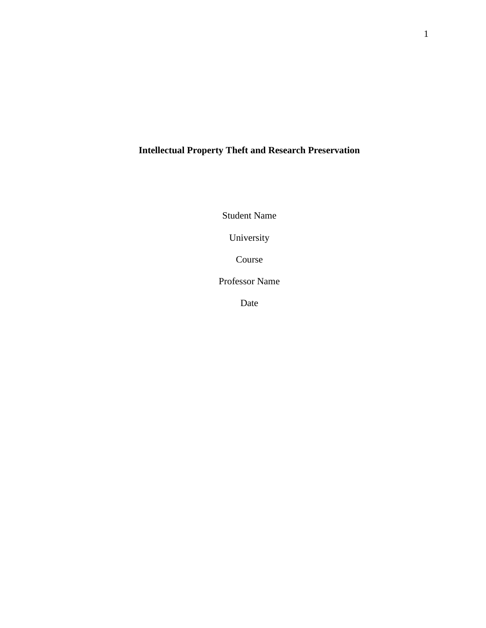# **Intellectual Property Theft and Research Preservation**

Student Name

University

Course

Professor Name

Date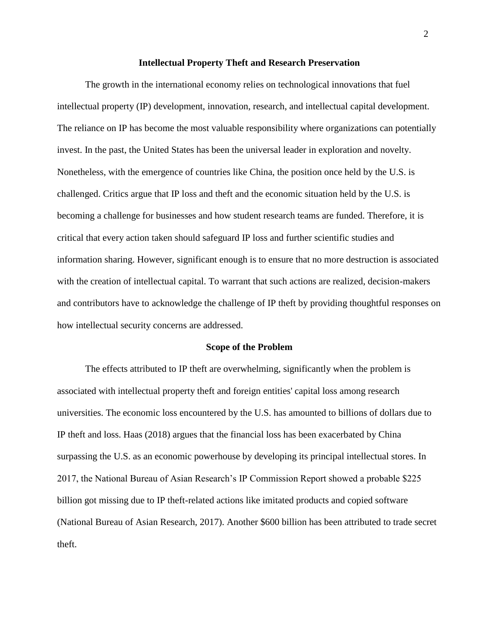#### **Intellectual Property Theft and Research Preservation**

The growth in the international economy relies on technological innovations that fuel intellectual property (IP) development, innovation, research, and intellectual capital development. The reliance on IP has become the most valuable responsibility where organizations can potentially invest. In the past, the United States has been the universal leader in exploration and novelty. Nonetheless, with the emergence of countries like China, the position once held by the U.S. is challenged. Critics argue that IP loss and theft and the economic situation held by the U.S. is becoming a challenge for businesses and how student research teams are funded. Therefore, it is critical that every action taken should safeguard IP loss and further scientific studies and information sharing. However, significant enough is to ensure that no more destruction is associated with the creation of intellectual capital. To warrant that such actions are realized, decision-makers and contributors have to acknowledge the challenge of IP theft by providing thoughtful responses on how intellectual security concerns are addressed.

#### **Scope of the Problem**

The effects attributed to IP theft are overwhelming, significantly when the problem is associated with intellectual property theft and foreign entities' capital loss among research universities. The economic loss encountered by the U.S. has amounted to billions of dollars due to IP theft and loss. Haas (2018) argues that the financial loss has been exacerbated by China surpassing the U.S. as an economic powerhouse by developing its principal intellectual stores. In 2017, the National Bureau of Asian Research's IP Commission Report showed a probable \$225 billion got missing due to IP theft-related actions like imitated products and copied software (National Bureau of Asian Research, 2017). Another \$600 billion has been attributed to trade secret theft.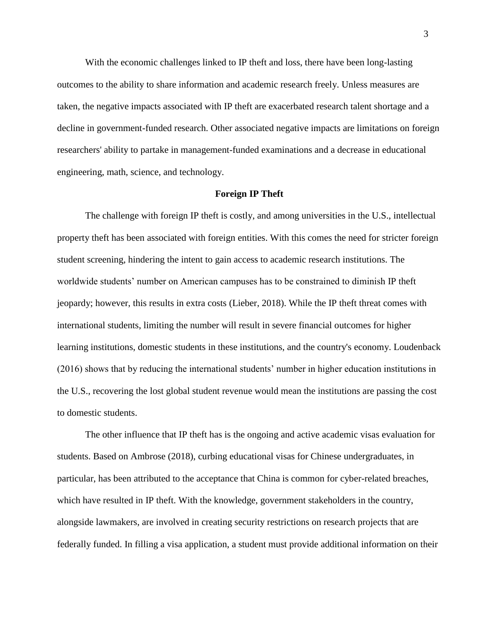With the economic challenges linked to IP theft and loss, there have been long-lasting outcomes to the ability to share information and academic research freely. Unless measures are taken, the negative impacts associated with IP theft are exacerbated research talent shortage and a decline in government-funded research. Other associated negative impacts are limitations on foreign researchers' ability to partake in management-funded examinations and a decrease in educational engineering, math, science, and technology.

#### **Foreign IP Theft**

The challenge with foreign IP theft is costly, and among universities in the U.S., intellectual property theft has been associated with foreign entities. With this comes the need for stricter foreign student screening, hindering the intent to gain access to academic research institutions. The worldwide students' number on American campuses has to be constrained to diminish IP theft jeopardy; however, this results in extra costs (Lieber, 2018). While the IP theft threat comes with international students, limiting the number will result in severe financial outcomes for higher learning institutions, domestic students in these institutions, and the country's economy. Loudenback (2016) shows that by reducing the international students' number in higher education institutions in the U.S., recovering the lost global student revenue would mean the institutions are passing the cost to domestic students.

The other influence that IP theft has is the ongoing and active academic visas evaluation for students. Based on Ambrose (2018), curbing educational visas for Chinese undergraduates, in particular, has been attributed to the acceptance that China is common for cyber-related breaches, which have resulted in IP theft. With the knowledge, government stakeholders in the country, alongside lawmakers, are involved in creating security restrictions on research projects that are federally funded. In filling a visa application, a student must provide additional information on their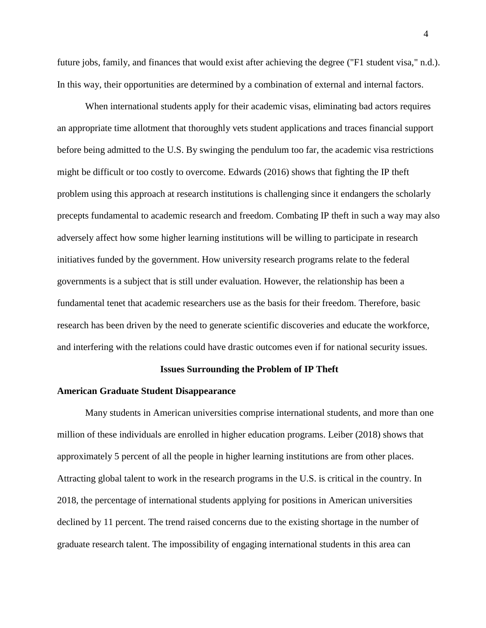future jobs, family, and finances that would exist after achieving the degree ("F1 student visa," n.d.). In this way, their opportunities are determined by a combination of external and internal factors.

When international students apply for their academic visas, eliminating bad actors requires an appropriate time allotment that thoroughly vets student applications and traces financial support before being admitted to the U.S. By swinging the pendulum too far, the academic visa restrictions might be difficult or too costly to overcome. Edwards (2016) shows that fighting the IP theft problem using this approach at research institutions is challenging since it endangers the scholarly precepts fundamental to academic research and freedom. Combating IP theft in such a way may also adversely affect how some higher learning institutions will be willing to participate in research initiatives funded by the government. How university research programs relate to the federal governments is a subject that is still under evaluation. However, the relationship has been a fundamental tenet that academic researchers use as the basis for their freedom. Therefore, basic research has been driven by the need to generate scientific discoveries and educate the workforce, and interfering with the relations could have drastic outcomes even if for national security issues.

# **Issues Surrounding the Problem of IP Theft**

## **American Graduate Student Disappearance**

Many students in American universities comprise international students, and more than one million of these individuals are enrolled in higher education programs. Leiber (2018) shows that approximately 5 percent of all the people in higher learning institutions are from other places. Attracting global talent to work in the research programs in the U.S. is critical in the country. In 2018, the percentage of international students applying for positions in American universities declined by 11 percent. The trend raised concerns due to the existing shortage in the number of graduate research talent. The impossibility of engaging international students in this area can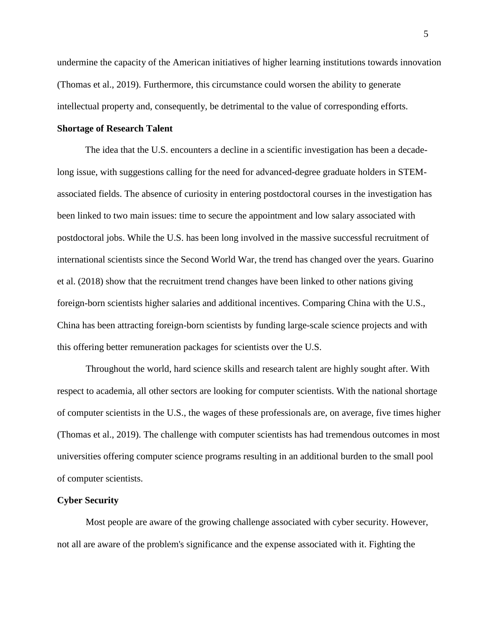undermine the capacity of the American initiatives of higher learning institutions towards innovation (Thomas et al., 2019). Furthermore, this circumstance could worsen the ability to generate intellectual property and, consequently, be detrimental to the value of corresponding efforts.

## **Shortage of Research Talent**

The idea that the U.S. encounters a decline in a scientific investigation has been a decadelong issue, with suggestions calling for the need for advanced-degree graduate holders in STEMassociated fields. The absence of curiosity in entering postdoctoral courses in the investigation has been linked to two main issues: time to secure the appointment and low salary associated with postdoctoral jobs. While the U.S. has been long involved in the massive successful recruitment of international scientists since the Second World War, the trend has changed over the years. Guarino et al. (2018) show that the recruitment trend changes have been linked to other nations giving foreign-born scientists higher salaries and additional incentives. Comparing China with the U.S., China has been attracting foreign-born scientists by funding large-scale science projects and with this offering better remuneration packages for scientists over the U.S.

Throughout the world, hard science skills and research talent are highly sought after. With respect to academia, all other sectors are looking for computer scientists. With the national shortage of computer scientists in the U.S., the wages of these professionals are, on average, five times higher (Thomas et al., 2019). The challenge with computer scientists has had tremendous outcomes in most universities offering computer science programs resulting in an additional burden to the small pool of computer scientists.

#### **Cyber Security**

Most people are aware of the growing challenge associated with cyber security. However, not all are aware of the problem's significance and the expense associated with it. Fighting the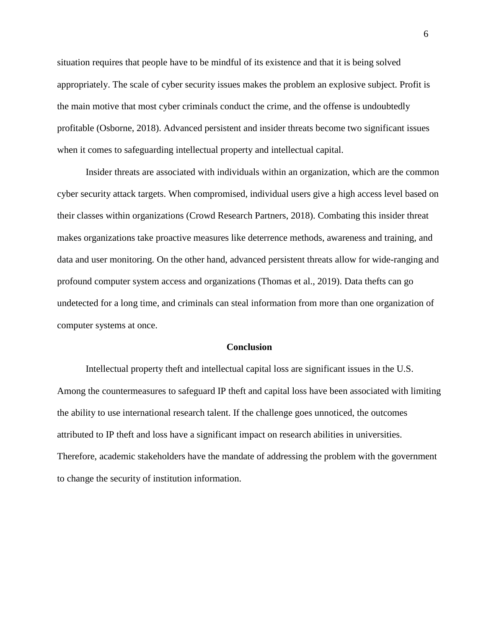situation requires that people have to be mindful of its existence and that it is being solved appropriately. The scale of cyber security issues makes the problem an explosive subject. Profit is the main motive that most cyber criminals conduct the crime, and the offense is undoubtedly profitable (Osborne, 2018). Advanced persistent and insider threats become two significant issues when it comes to safeguarding intellectual property and intellectual capital.

Insider threats are associated with individuals within an organization, which are the common cyber security attack targets. When compromised, individual users give a high access level based on their classes within organizations (Crowd Research Partners, 2018). Combating this insider threat makes organizations take proactive measures like deterrence methods, awareness and training, and data and user monitoring. On the other hand, advanced persistent threats allow for wide-ranging and profound computer system access and organizations (Thomas et al., 2019). Data thefts can go undetected for a long time, and criminals can steal information from more than one organization of computer systems at once.

# **Conclusion**

Intellectual property theft and intellectual capital loss are significant issues in the U.S. Among the countermeasures to safeguard IP theft and capital loss have been associated with limiting the ability to use international research talent. If the challenge goes unnoticed, the outcomes attributed to IP theft and loss have a significant impact on research abilities in universities. Therefore, academic stakeholders have the mandate of addressing the problem with the government to change the security of institution information.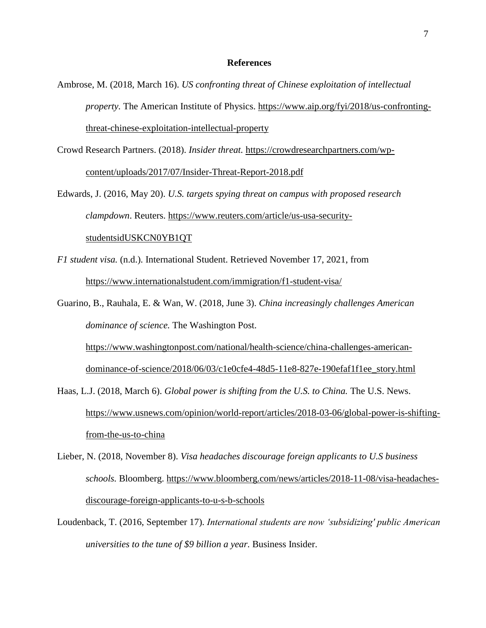## **References**

- Ambrose, M. (2018, March 16). *US confronting threat of Chinese exploitation of intellectual property.* The American Institute of Physics. [https://www.aip.org/fyi/2018/us-confronting](https://www.aip.org/fyi/2018/us-confronting-threat-chinese-exploitation-intellectual-property)[threat-chinese-exploitation-intellectual-property](https://www.aip.org/fyi/2018/us-confronting-threat-chinese-exploitation-intellectual-property)
- Crowd Research Partners. (2018). *Insider threat.* [https://crowdresearchpartners.com/wp](https://crowdresearchpartners.com/wp-content/uploads/2017/07/Insider-Threat-Report-2018.pdf)[content/uploads/2017/07/Insider-Threat-Report-2018.pdf](https://crowdresearchpartners.com/wp-content/uploads/2017/07/Insider-Threat-Report-2018.pdf)

Edwards, J. (2016, May 20). *U.S. targets spying threat on campus with proposed research clampdown*. Reuters. [https://www.reuters.com/article/us-usa-security](https://www.reuters.com/article/us-usa-security-studentsidUSKCN0YB1QT)[studentsidUSKCN0YB1QT](https://www.reuters.com/article/us-usa-security-studentsidUSKCN0YB1QT)

- *F1 student visa.* (n.d.). International Student. Retrieved November 17, 2021, from <https://www.internationalstudent.com/immigration/f1-student-visa/>
- Guarino, B., Rauhala, E. & Wan, W. (2018, June 3). *China increasingly challenges American dominance of science.* The Washington Post. [https://www.washingtonpost.com/national/health-science/china-challenges-american](https://www.washingtonpost.com/national/health-science/china-challenges-american-dominance-of-science/2018/06/03/c1e0cfe4-48d5-11e8-827e-190efaf1f1ee_story.html)[dominance-of-science/2018/06/03/c1e0cfe4-48d5-11e8-827e-190efaf1f1ee\\_story.html](https://www.washingtonpost.com/national/health-science/china-challenges-american-dominance-of-science/2018/06/03/c1e0cfe4-48d5-11e8-827e-190efaf1f1ee_story.html)
- Haas, L.J. (2018, March 6). *Global power is shifting from the U.S. to China*. The U.S. News. [https://www.usnews.com/opinion/world-report/articles/2018-03-06/global-power-is-shifting](https://www.usnews.com/opinion/world-report/articles/2018-03-06/global-power-is-shifting-from-the-us-to-china)[from-the-us-to-china](https://www.usnews.com/opinion/world-report/articles/2018-03-06/global-power-is-shifting-from-the-us-to-china)
- Lieber, N. (2018, November 8). *Visa headaches discourage foreign applicants to U.S business schools.* Bloomberg. [https://www.bloomberg.com/news/articles/2018-11-08/visa-headaches](https://www.bloomberg.com/news/articles/2018-11-08/visa-headaches-discourage-foreign-applicants-to-u-s-b-schools)[discourage-foreign-applicants-to-u-s-b-schools](https://www.bloomberg.com/news/articles/2018-11-08/visa-headaches-discourage-foreign-applicants-to-u-s-b-schools)
- Loudenback, T. (2016, September 17). *International students are now 'subsidizing' public American universities to the tune of \$9 billion a year.* Business Insider.